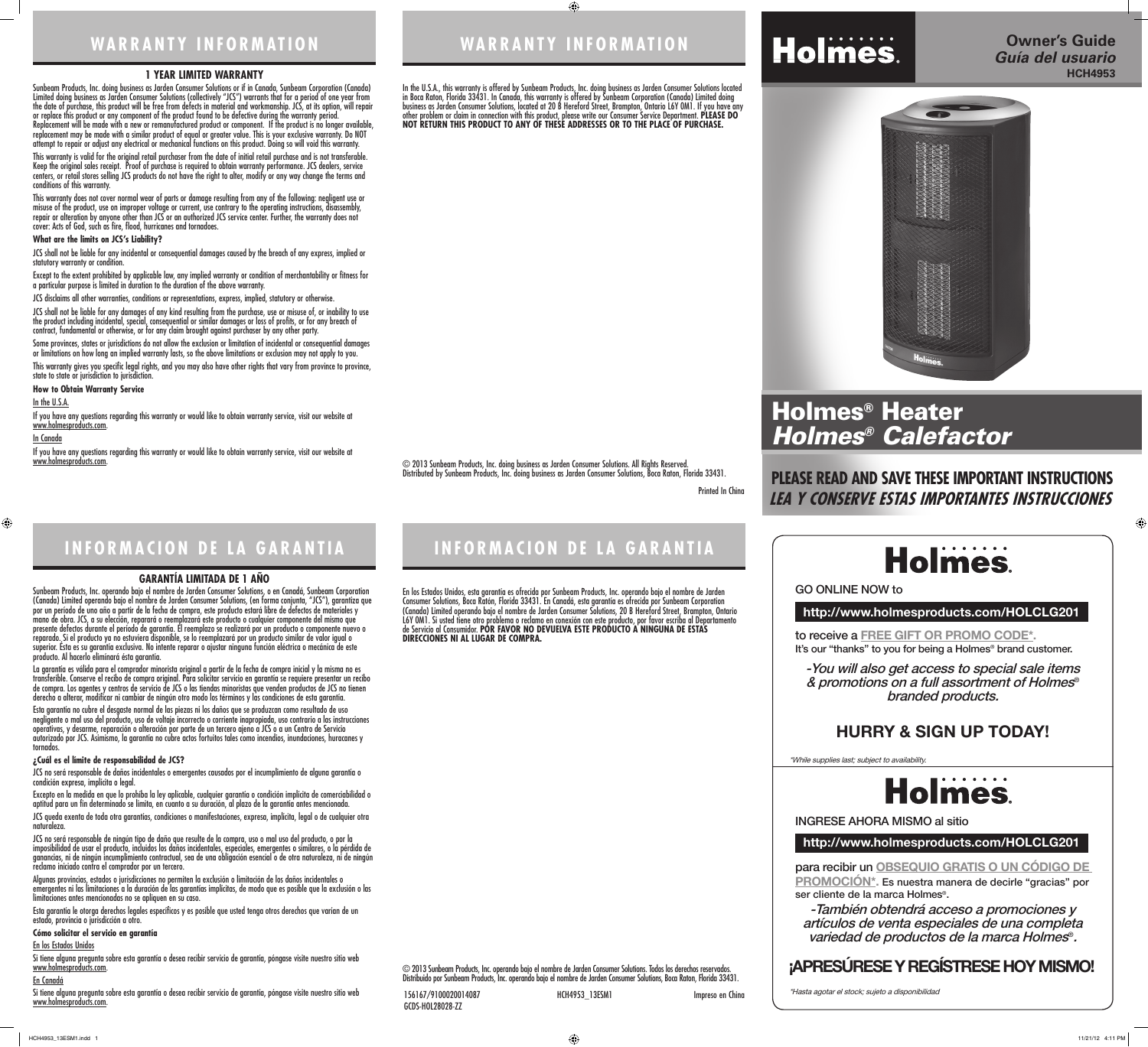**WARRANTY INFORMATION**

 $\bigoplus$ 

© 2013 Sunbeam Products, Inc. doing business as Jarden Consumer Solutions. All Rights Reserved. Distributed by Sunbeam Products, Inc. doing business as Jarden Consumer Solutions, Boca Raton, Florida 33431.

### **1 YEAR LIMITED WARRANTY**

Sunbeam Products, Inc. doing business as Jarden Consumer Solutions or if in Canada, Sunbeam Corporation (Canada) Limited doing business as Jarden Consumer Solutions (collectively "JCS") warrants that for a period of one year from the date of purchase, this product will be free from defects in material and workmanship. JCS, at its option, will repair or replace this product or any component of the product found to be defective during the warranty period. Replacement will be made with a new or remanufactured product or component. If the product is no longer available, replacement may be made with a similar product of equal or greater value. This is your exclusive warranty. Do NOT attempt to repair or adjust any electrical or mechanical functions on this product. Doing so will void this warranty.

This warranty is valid for the original retail purchaser from the date of initial retail purchase and is not transferable. Keep the original sales receipt. Proof of purchase is required to obtain warranty performance. JCS dealers, service centers, or retail stores selling JCS products do not have the right to alter, modify or any way change the terms and conditions of this warranty.

If you have any questions regarding this warranty or would like to obtain warranty service, visit our website at www.holmesproducts.com.

This warranty does not cover normal wear of parts or damage resulting from any of the following: negligent use or misuse of the product, use on improper voltage or current, use contrary to the operating instructions, disassembly, repair or alteration by anyone other than JCS or an authorized JCS service center. Further, the warranty does not cover: Acts of God, such as fire, flood, hurricanes and tornadoes.

### **What are the limits on JCS's Liability?**

JCS shall not be liable for any incidental or consequential damages caused by the breach of any express, implied or statutory warranty or condition.

Except to the extent prohibited by applicable law, any implied warranty or condition of merchantability or fitness for a particular purpose is limited in duration to the duration of the above warranty.

JCS disclaims all other warranties, conditions or representations, express, implied, statutory or otherwise.

JCS shall not be liable for any damages of any kind resulting from the purchase, use or misuse of, or inability to use the product including incidental, special, consequential or similar damages or loss of profits, or for any breach of contract, fundamental or otherwise, or for any claim brought against purchaser by any other party.

Some provinces, states or jurisdictions do not allow the exclusion or limitation of incidental or consequential damages or limitations on how long an implied warranty lasts, so the above limitations or exclusion may not apply to you. This warranty gives you specific legal rights, and you may also have other rights that vary from province to province, state to state or jurisdiction to jurisdiction.

### **How to Obtain Warranty Service**

### In the U.S.A.

### In Canada

 $\bigoplus$ 

If you have any questions regarding this warranty or would like to obtain warranty service, visit our website at www.holmesproducts.com.

# **WARRANTY INFORMATION**

# In the U.S.A., this warranty is offered by Sunbeam Products, Inc. doing business as Jarden Consumer Solutions located

Si tiene alguna pregunta sobre esta garantía o desea recibir servicio de garantía, póngase visite nuestro sitio web www.holmesproducts.com.

in Boca Raton, Florida 33431. In Canada, this warranty is offered by Sunbeam Corporation (Canada) Limited doing business as Jarden Consumer Solutions, located at 20 B Hereford Street, Brampton, Ontario L6Y 0M1. If you have any other problem or claim in connection with this product, please write our Consumer Service Department. **PLEASE DO NOT RETURN THIS PRODUCT TO ANY OF THESE ADDRESSES OR TO THE PLACE OF PURCHASE.** 



Si tiene alguna pregunta sobre esta garantía o desea recibir servicio de garantía, póngase visite nuestro sitio web www.holmesproducts.com.

Printed In China

**INFORMACION DE LA GARANTIA**

© 2013 Sunbeam Products, Inc. operando bajo el nombre de Jarden Consumer Solutions. Todos los derechos reservados. Distribuido por Sunbeam Products, Inc. operando bajo el nombre de Jarden Consumer Solutions, Boca Raton, Florida 33431. to receive a **FREE GIFT OR PROMO CODE\*.** It's our "thanks" to you for being a Holmes<sup>®</sup> brand customer.

# **Holmes**

### **GARANTÍA LIMITADA DE 1 AÑO**

Sunbeam Products, Inc. operando bajo el nombre de Jarden Consumer Solutions, o en Canadá, Sunbeam Corporation (Canada) Limited operando bajo el nombre de Jarden Consumer Solutions, (en forma conjunta, "JCS"), garantiza que por un período de uno año a partir de la fecha de compra, este producto estará libre de defectos de materiales y mano de obra. JCS, a su elección, reparará o reemplazará este producto o cualquier componente del mismo que presente defectos durante el período de garantía. El reemplazo se realizará por un producto o componente nuevo o reparado. Si el producto ya no estuviera disponible, se lo reemplazará por un producto similar de valor igual o superior. Ésta es su garantía exclusiva. No intente reparar o ajustar ninguna función eléctrica o mecánica de este producto. Al hacerlo elimínará ésta garantía.

La garantía es válida para el comprador minorista original a partir de la fecha de compra inicial y la misma no es transferible. Conserve el recibo de compra original. Para solicitar servicio en garantía se requiere presentar un recibo de compra. Los agentes y centros de servicio de JCS o las tiendas minoristas que venden productos de JCS no tienen derecho a alterar, modificar ni cambiar de ningún otro modo los términos y las condiciones de esta garantía.

Esta garantía no cubre el desgaste normal de las piezas ni los daños que se produzcan como resultado de uso negligente o mal uso del producto, uso de voltaje incorrecto o corriente inapropiada, uso contrario a las instrucciones operativas, y desarme, reparación o alteración por parte de un tercero ajeno a JCS o a un Centro de Servicio autorizado por JCS. Asimismo, la garantía no cubre actos fortuitos tales como incendios, inundaciones, huracanes y tornados.

### **¿Cuál es el límite de responsabilidad de JCS?**

JCS no será responsable de daños incidentales o emergentes causados por el incumplimiento de alguna garantía o condición expresa, implícita o legal.

Excepto en la medida en que lo prohíba la ley aplicable, cualquier garantía o condición implícita de comerciabilidad o aptitud para un fin determinado se limita, en cuanto a su duración, al plazo de la garantía antes mencionada. JCS queda exenta de toda otra garantías, condiciones o manifestaciones, expresa, implícita, legal o de cualquier otra

naturaleza.

JCS no será responsable de ningún tipo de daño que resulte de la compra, uso o mal uso del producto, o por la imposibilidad de usar el producto, incluidos los daños incidentales, especiales, emergentes o similares, o la pérdida de ganancias, ni de ningún incumplimiento contractual, sea de una obligación esencial o de otra naturaleza, ni de ningún reclamo iniciado contra el comprador por un tercero.

Algunas provincias, estados o jurisdicciones no permiten la exclusión o limitación de los daños incidentales o emergentes ni las limitaciones a la duración de las garantías implícitas, de modo que es posible que la exclusión o las limitaciones antes mencionadas no se apliquen en su caso.

Esta garantía le otorga derechos legales específicos y es posible que usted tenga otros derechos que varían de un estado, provincia o jurisdicción a otro.

### **Cómo solicitar el servicio en garantía**

# En los Estados Unidos

# En Canadá

# **INFORMACION DE LA GARANTIA**

En los Estados Unidos, esta garantía es ofrecida por Sunbeam Products, Inc. operando bajo el nombre de Jarden Consumer Solutions, Boca Ratón, Florida 33431. En Canadá, esta garantía es ofrecida por Sunbeam Corporation (Canada) Limited operando bajo el nombre de Jarden Consumer Solutions, 20 B Hereford Street, Brampton, Ontario L6Y 0M1. Si usted tiene otro problema o reclamo en conexión con este producto, por favor escriba al Departamento de Servicio al Consumidor. **POR FAVOR NO DEVUELVA ESTE PRODUCTO A NINGUNA DE ESTAS DIRECCIONES NI AL LUGAR DE COMPRA.**

156167/9100020014087 HCH4953\_13ESM1 Impreso en China GCDS-HOL28028-ZZ

# **http://www.holmesproducts.com/HOLCLG201**

**http://www.holmesproducts.com/HOLCLG201**

para recibir un **OBSEQUIO GRATIS O UN CÓDIGO DE PROMOCIÓN\*.** Es nuestra manera de decirle "gracias" por ser cliente de la marca Holmes®.

GO ONLINE NOW to

INGRESE AHORA MISMO al sitio

-You will also get access to special sale items & promotions on a full assortment of Holmes® branded products.

-También obtendrá acceso a promociones y artículos de venta especiales de una completa variedad de productos de la marca Holmes®.

\*While supplies last; subject to availability.



\*Hasta agotar el stock; sujeto a disponibilidad

 $\bigoplus$ 

# **HURRY & SIGN UP TODAY!**

# **¡APRESÚRESE Y REGÍSTRESE HOY MISMO!**

# **PLEASE READ AND SAVE THESE IMPORTANT INSTRUCTIONS LEA Y CONSERVE ESTAS IMPORTANTES INSTRUCCIONES**



# **Owner's Guide HCH4953** *Guía del usuario*



# Holmes® Heater *Holmes® Calefactor*

HCH4953\_13ESM1.indd 1 11/21/12 4:11 PM

# Holmes.